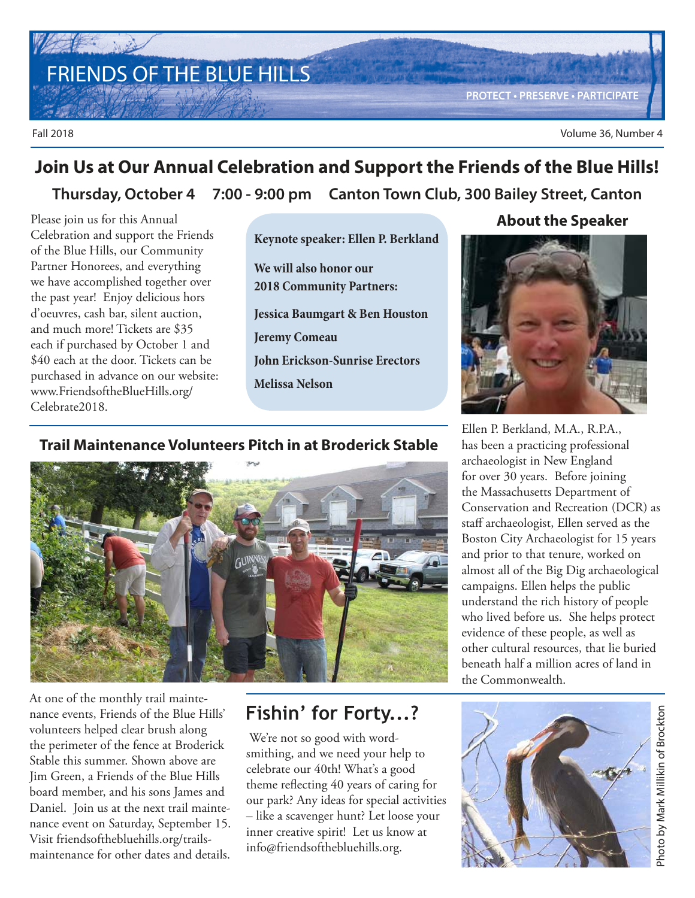FRIENDS OF THE BLUE HILLS

**PROTECT • PRESERVE • PARTICIPATE**

Fall 2018 Volume 36, Number 4

## **Thursday, October 4 7:00 - 9:00 pm Canton Town Club, 300 Bailey Street, Canton Join Us at Our Annual Celebration and Support the Friends of the Blue Hills!**

Please join us for this Annual Celebration and support the Friends of the Blue Hills, our Community Partner Honorees, and everything we have accomplished together over the past year! Enjoy delicious hors d'oeuvres, cash bar, silent auction, and much more! Tickets are \$35 each if purchased by October 1 and \$40 each at the door. Tickets can be purchased in advance on our website: www.FriendsoftheBlueHills.org/ Celebrate2018.

**Keynote speaker: Ellen P. Berkland We will also honor our 2018 Community Partners: Jessica Baumgart & Ben Houston Jeremy Comeau John Erickson-Sunrise Erectors Melissa Nelson**

### **Trail Maintenance Volunteers Pitch in at Broderick Stable**



At one of the monthly trail maintenance events, Friends of the Blue Hills' volunteers helped clear brush along the perimeter of the fence at Broderick Stable this summer. Shown above are Jim Green, a Friends of the Blue Hills board member, and his sons James and Daniel. Join us at the next trail maintenance event on Saturday, September 15. Visit friendsofthebluehills.org/trailsmaintenance for other dates and details.

## **Fishin' for Forty...?**

 We're not so good with wordsmithing, and we need your help to celebrate our 40th! What's a good theme reflecting 40 years of caring for our park? Any ideas for special activities – like a scavenger hunt? Let loose your inner creative spirit! Let us know at info@friendsofthebluehills.org.

### **About the Speaker**



Ellen P. Berkland, M.A., R.P.A., has been a practicing professional archaeologist in New England for over 30 years. Before joining the Massachusetts Department of Conservation and Recreation (DCR) as staff archaeologist, Ellen served as the Boston City Archaeologist for 15 years and prior to that tenure, worked on almost all of the Big Dig archaeological campaigns. Ellen helps the public understand the rich history of people who lived before us. She helps protect evidence of these people, as well as other cultural resources, that lie buried beneath half a million acres of land in the Commonwealth.

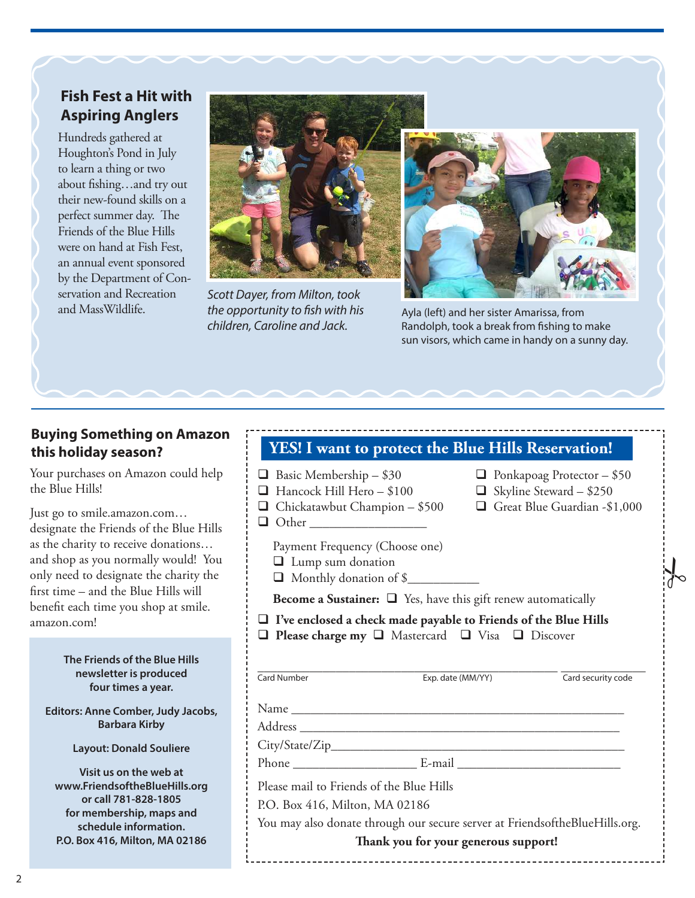## **Fish Fest a Hit with Aspiring Anglers**

Hundreds gathered at Houghton's Pond in July to learn a thing or two about fishing…and try out their new-found skills on a perfect summer day. The Friends of the Blue Hills were on hand at Fish Fest, an annual event sponsored by the Department of Conservation and Recreation and MassWildlife.



Scott Dayer, from Milton, took the opportunity to fish with his children, Caroline and Jack.



Ayla (left) and her sister Amarissa, from Randolph, took a break from fishing to make sun visors, which came in handy on a sunny day.

### **Buying Something on Amazon this holiday season?**

Your purchases on Amazon could help the Blue Hills!

Just go to smile.amazon.com… designate the Friends of the Blue Hills as the charity to receive donations… and shop as you normally would! You only need to designate the charity the first time – and the Blue Hills will benefit each time you shop at smile. amazon.com!

#### **The Friends of the Blue Hills newsletter is produced four times a year.**

**Editors: Anne Comber, Judy Jacobs, Barbara Kirby**

**Layout: Donald Souliere**

**Visit us on the web at www.FriendsoftheBlueHills.org or call 781-828-1805 for membership, maps and schedule information. P.O. Box 416, Milton, MA 02186**

### **YES! I want to protect the Blue Hills Reservation!**   $\Box$  Basic Membership – \$30  $\Box$  Ponkapoag Protector – \$50 ■ Hancock Hill Hero – \$100 <br>■ Skyline Steward – \$250 <br>■ Great Blue Guardian - \$1,000  $\Box$  Chickatawbut Champion - \$500 Other \_\_\_\_\_\_\_\_\_\_\_\_\_\_\_\_\_\_ Payment Frequency (Choose one) **Lump** sum donation  $\Box$  Monthly donation of \$ **Become a Sustainer:**  $\Box$  Yes, have this gift renew automatically **I've enclosed a check made payable to Friends of the Blue Hills**  □ Please charge my □ Mastercard □ Visa □ Discover \_\_\_\_\_\_\_\_\_\_\_\_\_\_\_\_\_\_\_\_\_\_\_\_\_\_\_\_\_\_\_\_\_\_\_\_\_\_\_\_\_\_\_\_\_\_ \_\_\_\_\_\_\_\_\_\_\_\_\_ Card Number Exp. date (MM/YY) Card security code Name Address \_\_\_\_\_\_\_\_\_\_\_\_\_\_\_\_\_\_\_\_\_\_\_\_\_\_\_\_\_\_\_\_\_\_\_\_\_\_\_\_\_\_\_\_\_\_\_\_\_  $\it City/State/Zip\_$ Phone \_\_\_\_\_\_\_\_\_\_\_\_\_\_\_\_\_\_\_ E-mail \_\_\_\_\_\_\_\_\_\_\_\_\_\_\_\_\_\_\_\_\_\_\_\_\_ Please mail to Friends of the Blue Hills P.O. Box 416, Milton, MA 02186 You may also donate through our secure server at FriendsoftheBlueHills.org. **Thank you for your generous support!**  $\frac{1}{6}$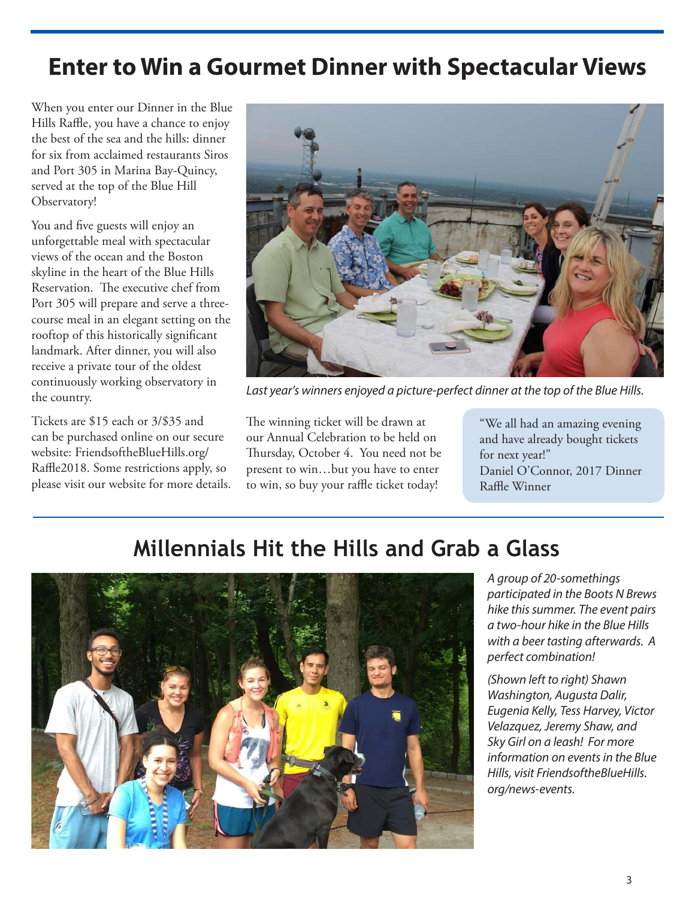## **Enter to Win a Gourmet Dinner with Spectacular Views**

When you enter our Dinner in the Blue Hills Raffle, you have a chance to enjoy the best of the sea and the hills: dinner for six from acclaimed restaurants Siros and Port 305 in Marina Bay-Quincy, served at the top of the Blue Hill Observatory!

You and five guests will enjoy an unforgettable meal with spectacular views of the ocean and the Boston skyline in the heart of the Blue Hills Reservation. The executive chef from Port 305 will prepare and serve a threecourse meal in an elegant setting on the rooftop of this historically significant landmark. After dinner, you will also receive a private tour of the oldest continuously working observatory in the country.

Tickets are \$15 each or 3/\$35 and can be purchased online on our secure website: FriendsoftheBlueHills.org/ Raffle2018. Some restrictions apply, so please visit our website for more details.



Last year's winners enjoyed a picture-perfect dinner at the top of the Blue Hills.

The winning ticket will be drawn at our Annual Celebration to be held on Thursday, October 4. You need not be present to win…but you have to enter to win, so buy your raffle ticket today!

"We all had an amazing evening and have already bought tickets for next year!" Daniel O'Connor, 2017 Dinner Raffle Winner

## **Millennials Hit the Hills and Grab a Glass**



A group of 20-somethings participated in the Boots N Brews hike this summer. The event pairs a two-hour hike in the Blue Hills with a beer tasting afterwards. A perfect combination!

(Shown left to right) Shawn Washington, Augusta Dalir, Eugenia Kelly, Tess Harvey, Victor Velazquez, Jeremy Shaw, and Sky Girl on a leash! For more information on events in the Blue Hills, visit FriendsoftheBlueHills. org/news-events.